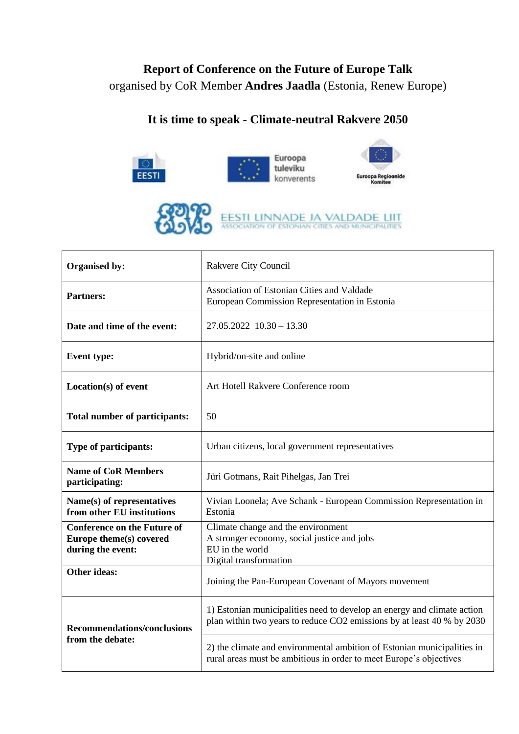## **Report of Conference on the Future of Europe Talk** organised by CoR Member **Andres Jaadla** (Estonia, Renew Europe)

## **It is time to speak - Climate-neutral Rakvere 2050**



| Organised by:                                                                      | Rakvere City Council                                                                                                                              |
|------------------------------------------------------------------------------------|---------------------------------------------------------------------------------------------------------------------------------------------------|
| <b>Partners:</b>                                                                   | Association of Estonian Cities and Valdade<br>European Commission Representation in Estonia                                                       |
| Date and time of the event:                                                        | $27.05.2022$ $10.30 - 13.30$                                                                                                                      |
| <b>Event type:</b>                                                                 | Hybrid/on-site and online                                                                                                                         |
| Location(s) of event                                                               | Art Hotell Rakvere Conference room                                                                                                                |
| Total number of participants:                                                      | 50                                                                                                                                                |
| Type of participants:                                                              | Urban citizens, local government representatives                                                                                                  |
| <b>Name of CoR Members</b><br>participating:                                       | Jüri Gotmans, Rait Pihelgas, Jan Trei                                                                                                             |
| Name(s) of representatives<br>from other EU institutions                           | Vivian Loonela; Ave Schank - European Commission Representation in<br>Estonia                                                                     |
| <b>Conference on the Future of</b><br>Europe theme(s) covered<br>during the event: | Climate change and the environment<br>A stronger economy, social justice and jobs<br>EU in the world<br>Digital transformation                    |
| Other ideas:                                                                       | Joining the Pan-European Covenant of Mayors movement                                                                                              |
| <b>Recommendations/conclusions</b><br>from the debate:                             | 1) Estonian municipalities need to develop an energy and climate action<br>plan within two years to reduce CO2 emissions by at least 40 % by 2030 |
|                                                                                    | 2) the climate and environmental ambition of Estonian municipalities in<br>rural areas must be ambitious in order to meet Europe's objectives     |